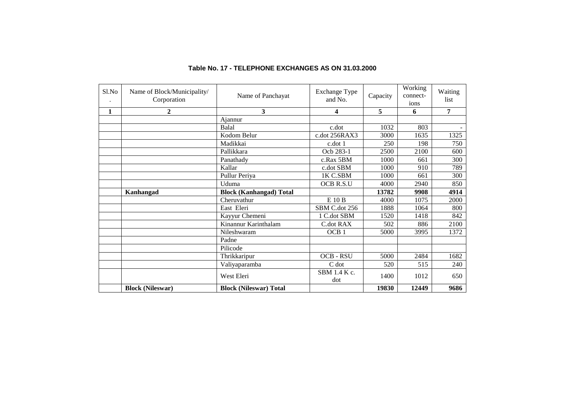| Sl.No        | Name of Block/Municipality/<br>Corporation | Name of Panchayat              | <b>Exchange Type</b><br>and No. | Capacity | Working<br>connect-<br>ions | Waiting<br>list |
|--------------|--------------------------------------------|--------------------------------|---------------------------------|----------|-----------------------------|-----------------|
| $\mathbf{1}$ | $\mathbf{2}$                               | 3                              | 4                               | 5        | 6                           | 7               |
|              |                                            | Ajannur                        |                                 |          |                             |                 |
|              |                                            | Balal                          | c.dot                           | 1032     | 803                         |                 |
|              |                                            | Kodom Belur                    | c.dot 256RAX3                   | 3000     | 1635                        | 1325            |
|              |                                            | Madikkai                       | c.dot 1                         | 250      | 198                         | 750             |
|              |                                            | Pallikkara                     | Ocb 283-1                       | 2500     | 2100                        | 600             |
|              |                                            | Panathady                      | c.Rax 5BM                       | 1000     | 661                         | 300             |
|              |                                            | Kallar                         | c.dot SBM                       | 1000     | 910                         | 789             |
|              |                                            | Pullur Periya                  | 1K C.SBM                        | 1000     | 661                         | 300             |
|              |                                            | Uduma                          | OCB R.S.U                       | 4000     | 2940                        | 850             |
|              | Kanhangad                                  | <b>Block (Kanhangad) Total</b> |                                 | 13782    | 9908                        | 4914            |
|              |                                            | Cheruvathur                    | E 10 B                          | 4000     | 1075                        | 2000            |
|              |                                            | East Eleri                     | SBM C.dot 256                   | 1888     | 1064                        | 800             |
|              |                                            | Kayyur Chemeni                 | 1 C.dot SBM                     | 1520     | 1418                        | 842             |
|              |                                            | Kinannur Karinthalam           | C.dot RAX                       | 502      | 886                         | 2100            |
|              |                                            | Nileshwaram                    | OCB <sub>1</sub>                | 5000     | 3995                        | 1372            |
|              |                                            | Padne                          |                                 |          |                             |                 |
|              |                                            | Pilicode                       |                                 |          |                             |                 |
|              |                                            | Thrikkaripur                   | OCB - RSU                       | 5000     | 2484                        | 1682            |
|              |                                            | Valiyaparamba                  | C dot                           | 520      | 515                         | 240             |
|              |                                            | West Eleri                     | SBM 1.4 K c.<br>dot             | 1400     | 1012                        | 650             |
|              | <b>Block (Nileswar)</b>                    | <b>Block (Nileswar) Total</b>  |                                 | 19830    | 12449                       | 9686            |

## **Table No. 17 - TELEPHONE EXCHANGES AS ON 31.03.2000**